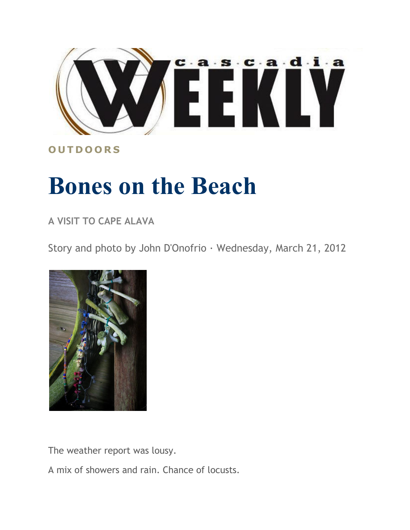

**O U T D O O R S**

## **Bones on the Beach**

**A VISIT TO CAPE ALAVA**

Story and photo by John D'Onofrio · Wednesday, March 21, 2012



The weather report was lousy.

A mix of showers and rain. Chance of locusts.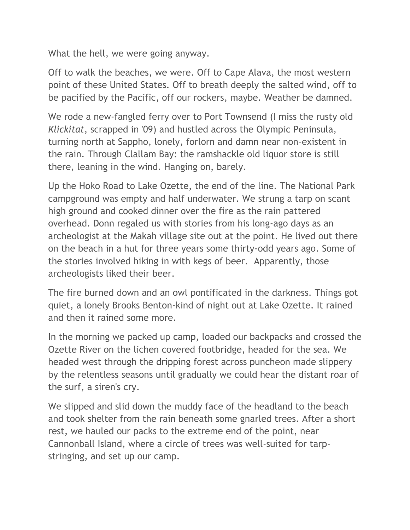What the hell, we were going anyway.

Off to walk the beaches, we were. Off to Cape Alava, the most western point of these United States. Off to breath deeply the salted wind, off to be pacified by the Pacific, off our rockers, maybe. Weather be damned.

We rode a new-fangled ferry over to Port Townsend (I miss the rusty old *Klickitat*, scrapped in '09) and hustled across the Olympic Peninsula, turning north at Sappho, lonely, forlorn and damn near non-existent in the rain. Through Clallam Bay: the ramshackle old liquor store is still there, leaning in the wind. Hanging on, barely.

Up the Hoko Road to Lake Ozette, the end of the line. The National Park campground was empty and half underwater. We strung a tarp on scant high ground and cooked dinner over the fire as the rain pattered overhead. Donn regaled us with stories from his long-ago days as an archeologist at the Makah village site out at the point. He lived out there on the beach in a hut for three years some thirty-odd years ago. Some of the stories involved hiking in with kegs of beer. Apparently, those archeologists liked their beer.

The fire burned down and an owl pontificated in the darkness. Things got quiet, a lonely Brooks Benton-kind of night out at Lake Ozette. It rained and then it rained some more.

In the morning we packed up camp, loaded our backpacks and crossed the Ozette River on the lichen covered footbridge, headed for the sea. We headed west through the dripping forest across puncheon made slippery by the relentless seasons until gradually we could hear the distant roar of the surf, a siren's cry.

We slipped and slid down the muddy face of the headland to the beach and took shelter from the rain beneath some gnarled trees. After a short rest, we hauled our packs to the extreme end of the point, near Cannonball Island, where a circle of trees was well-suited for tarpstringing, and set up our camp.